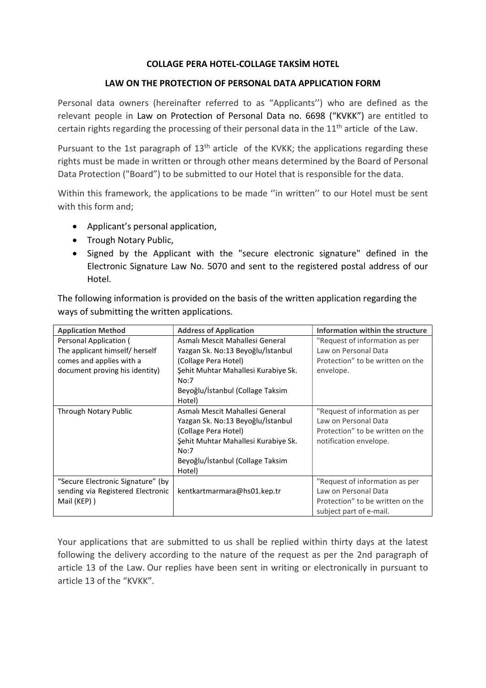#### COLLAGE PERA HOTEL-COLLAGE TAKSİM HOTEL

#### LAW ON THE PROTECTION OF PERSONAL DATA APPLICATION FORM

Personal data owners (hereinafter referred to as "Applicants'') who are defined as the relevant people in Law on Protection of Personal Data no. 6698 ("KVKK") are entitled to certain rights regarding the processing of their personal data in the  $11<sup>th</sup>$  article of the Law.

Pursuant to the 1st paragraph of 13<sup>th</sup> article of the KVKK; the applications regarding these rights must be made in written or through other means determined by the Board of Personal Data Protection ("Board") to be submitted to our Hotel that is responsible for the data.

Within this framework, the applications to be made "in written" to our Hotel must be sent with this form and;

- Applicant's personal application,
- Trough Notary Public,
- Signed by the Applicant with the "secure electronic signature" defined in the Electronic Signature Law No. 5070 and sent to the registered postal address of our Hotel.

The following information is provided on the basis of the written application regarding the ways of submitting the written applications.

| <b>Application Method</b>         | <b>Address of Application</b>                    | Information within the structure |
|-----------------------------------|--------------------------------------------------|----------------------------------|
| Personal Application (            | Asmalı Mescit Mahallesi General                  | "Request of information as per   |
| The applicant himself/ herself    | Yazgan Sk. No:13 Beyoğlu/İstanbul                | Law on Personal Data             |
| comes and applies with a          | (Collage Pera Hotel)                             | Protection" to be written on the |
| document proving his identity)    | Sehit Muhtar Mahallesi Kurabiye Sk.<br>envelope. |                                  |
|                                   | No:7                                             |                                  |
|                                   | Beyoğlu/İstanbul (Collage Taksim                 |                                  |
|                                   | Hotel)                                           |                                  |
| Through Notary Public             | Asmalı Mescit Mahallesi General                  | "Request of information as per   |
|                                   | Yazgan Sk. No:13 Beyoğlu/İstanbul                | Law on Personal Data             |
|                                   | (Collage Pera Hotel)                             | Protection" to be written on the |
|                                   | Şehit Muhtar Mahallesi Kurabiye Sk.              | notification envelope.           |
|                                   | No:7                                             |                                  |
|                                   | Beyoğlu/İstanbul (Collage Taksim                 |                                  |
|                                   | Hotel)                                           |                                  |
| "Secure Electronic Signature" (by |                                                  | "Request of information as per   |
| sending via Registered Electronic | kentkartmarmara@hs01.kep.tr                      | Law on Personal Data             |
| Mail (KEP))                       |                                                  | Protection" to be written on the |
|                                   |                                                  | subject part of e-mail.          |

Your applications that are submitted to us shall be replied within thirty days at the latest following the delivery according to the nature of the request as per the 2nd paragraph of article 13 of the Law. Our replies have been sent in writing or electronically in pursuant to article 13 of the "KVKK".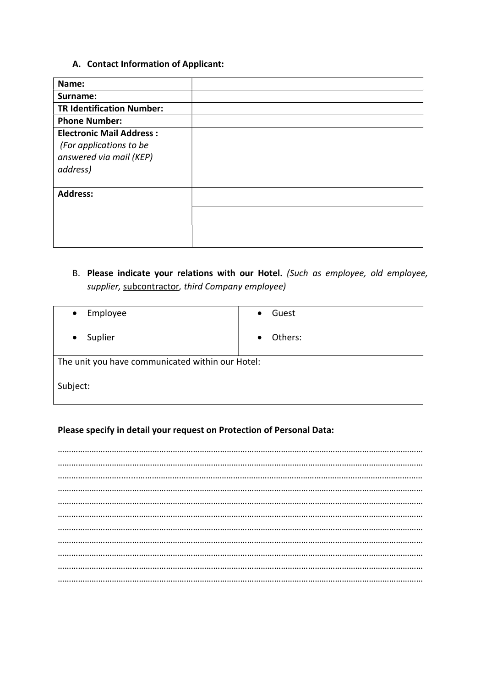# A. Contact Information of Applicant:

| Name:                                                                                             |  |
|---------------------------------------------------------------------------------------------------|--|
| Surname:                                                                                          |  |
| <b>TR Identification Number:</b>                                                                  |  |
| <b>Phone Number:</b>                                                                              |  |
| <b>Electronic Mail Address:</b><br>(For applications to be<br>answered via mail (KEP)<br>address) |  |
| <b>Address:</b>                                                                                   |  |
|                                                                                                   |  |
|                                                                                                   |  |

B. Please indicate your relations with our Hotel. (Such as employee, old employee, supplier, subcontractor, third Company employee)

| Employee<br>$\bullet$                            | Guest                |  |  |  |
|--------------------------------------------------|----------------------|--|--|--|
| Suplier<br>$\bullet$                             | Others:<br>$\bullet$ |  |  |  |
| The unit you have communicated within our Hotel: |                      |  |  |  |
| Subject:                                         |                      |  |  |  |

# Please specify in detail your request on Protection of Personal Data: